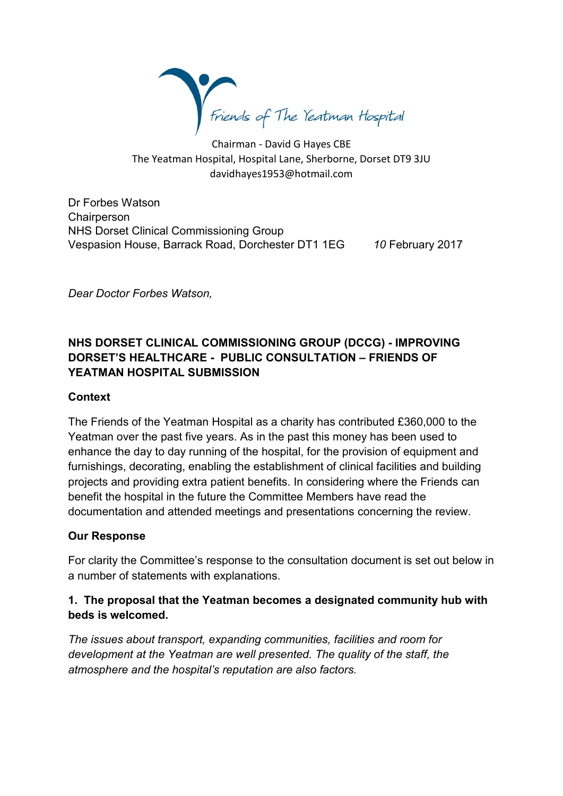

Chairman - David G Hayes CBE The Yeatman Hospital, Hospital Lane, Sherborne, Dorset DT9 3JU davidhayes1953@hotmail.com

Dr Forbes Watson **Chairperson** NHS Dorset Clinical Commissioning Group Vespasion House, Barrack Road, Dorchester DT1 1EG *10* February 2017

*Dear Doctor Forbes Watson,*

# **NHS DORSET CLINICAL COMMISSIONING GROUP (DCCG) - IMPROVING DORSET'S HEALTHCARE - PUBLIC CONSULTATION – FRIENDS OF YEATMAN HOSPITAL SUBMISSION**

#### **Context**

The Friends of the Yeatman Hospital as a charity has contributed £360,000 to the Yeatman over the past five years. As in the past this money has been used to enhance the day to day running of the hospital, for the provision of equipment and furnishings, decorating, enabling the establishment of clinical facilities and building projects and providing extra patient benefits. In considering where the Friends can benefit the hospital in the future the Committee Members have read the documentation and attended meetings and presentations concerning the review.

#### **Our Response**

For clarity the Committee's response to the consultation document is set out below in a number of statements with explanations.

### **1. The proposal that the Yeatman becomes a designated community hub with beds is welcomed.**

*The issues about transport, expanding communities, facilities and room for development at the Yeatman are well presented. The quality of the staff, the atmosphere and the hospital's reputation are also factors.*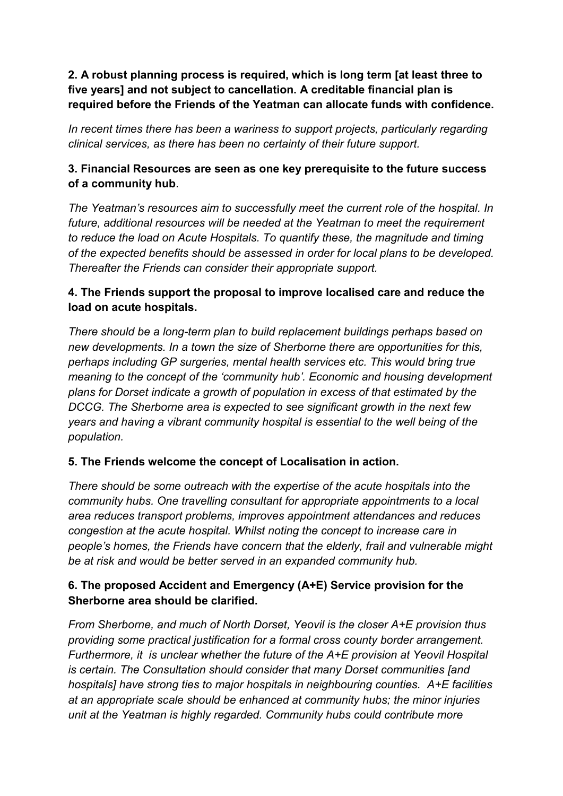**2. A robust planning process is required, which is long term [at least three to five years] and not subject to cancellation. A creditable financial plan is required before the Friends of the Yeatman can allocate funds with confidence.**

*In recent times there has been a wariness to support projects, particularly regarding clinical services, as there has been no certainty of their future support.*

# **3. Financial Resources are seen as one key prerequisite to the future success of a community hub**.

*The Yeatman's resources aim to successfully meet the current role of the hospital. In future, additional resources will be needed at the Yeatman to meet the requirement to reduce the load on Acute Hospitals. To quantify these, the magnitude and timing of the expected benefits should be assessed in order for local plans to be developed. Thereafter the Friends can consider their appropriate support.*

### **4. The Friends support the proposal to improve localised care and reduce the load on acute hospitals.**

*There should be a long-term plan to build replacement buildings perhaps based on new developments. In a town the size of Sherborne there are opportunities for this, perhaps including GP surgeries, mental health services etc. This would bring true meaning to the concept of the 'community hub'. Economic and housing development plans for Dorset indicate a growth of population in excess of that estimated by the DCCG. The Sherborne area is expected to see significant growth in the next few years and having a vibrant community hospital is essential to the well being of the population.* 

# **5. The Friends welcome the concept of Localisation in action.**

*There should be some outreach with the expertise of the acute hospitals into the community hubs. One travelling consultant for appropriate appointments to a local area reduces transport problems, improves appointment attendances and reduces congestion at the acute hospital. Whilst noting the concept to increase care in people's homes, the Friends have concern that the elderly, frail and vulnerable might be at risk and would be better served in an expanded community hub.*

### **6. The proposed Accident and Emergency (A+E) Service provision for the Sherborne area should be clarified.**

*From Sherborne, and much of North Dorset, Yeovil is the closer A+E provision thus providing some practical justification for a formal cross county border arrangement. Furthermore, it is unclear whether the future of the A+E provision at Yeovil Hospital is certain. The Consultation should consider that many Dorset communities [and hospitals] have strong ties to major hospitals in neighbouring counties. A+E facilities at an appropriate scale should be enhanced at community hubs; the minor injuries unit at the Yeatman is highly regarded. Community hubs could contribute more*